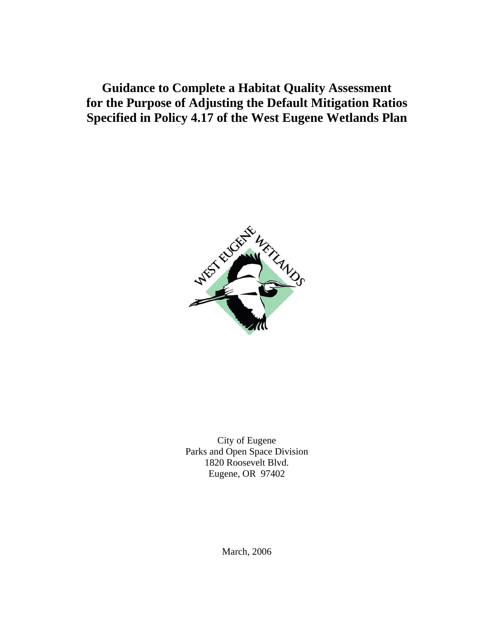**Guidance to Complete a Habitat Quality Assessment for the Purpose of Adjusting the Default Mitigation Ratios Specified in Policy 4.17 of the West Eugene Wetlands Plan** 



City of Eugene Parks and Open Space Division 1820 Roosevelt Blvd. Eugene, OR 97402

March, 2006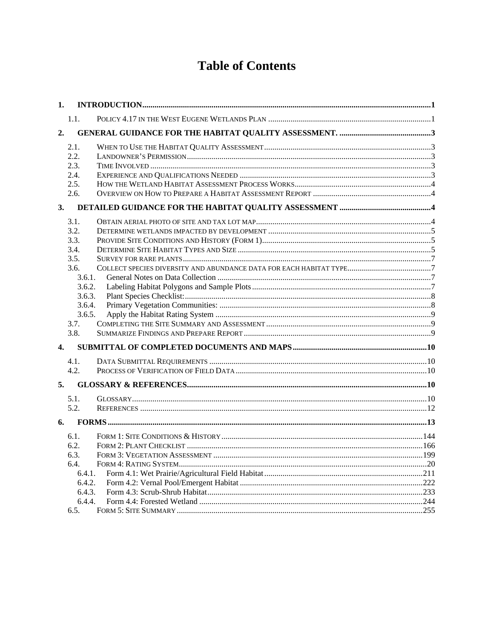# **Table of Contents**

| 1.             |        |  |
|----------------|--------|--|
|                | 1.1.   |  |
| 2.             |        |  |
|                | 2.1.   |  |
|                | 2.2.   |  |
|                | 2.3.   |  |
|                | 2.4.   |  |
|                | 2.5.   |  |
|                | 2.6.   |  |
| 3.             |        |  |
|                | 3.1.   |  |
|                | 3.2.   |  |
|                | 3.3.   |  |
|                | 3.4.   |  |
|                | 3.5.   |  |
|                | 3.6.   |  |
|                | 3.6.1. |  |
|                | 3.6.2. |  |
|                | 3.6.3. |  |
|                | 3.6.4. |  |
|                | 3.6.5. |  |
|                | 3.7.   |  |
|                | 3.8.   |  |
| $\mathbf{4}$ . |        |  |
|                | 4.1.   |  |
|                | 4.2.   |  |
| 5.             |        |  |
|                | 5.1.   |  |
|                | 5.2.   |  |
| 6.             |        |  |
|                | 6.1.   |  |
|                | 6.2.   |  |
|                | 6.3.   |  |
|                | 6.4.   |  |
|                | 6.4.1. |  |
|                | 6.4.2. |  |
|                | 6.4.3. |  |
|                | 6.4.4. |  |
|                | 6.5.   |  |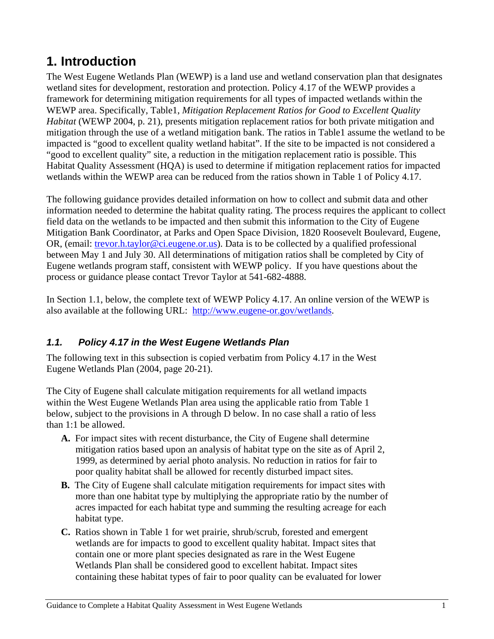# <span id="page-2-0"></span>**1. Introduction**

The West Eugene Wetlands Plan (WEWP) is a land use and wetland conservation plan that designates wetland sites for development, restoration and protection. Policy 4.17 of the WEWP provides a framework for determining mitigation requirements for all types of impacted wetlands within the WEWP area. Specifically, Table1, *Mitigation Replacement Ratios for Good to Excellent Quality Habitat* (WEWP 2004, p. 21), presents mitigation replacement ratios for both private mitigation and mitigation through the use of a wetland mitigation bank. The ratios in Table1 assume the wetland to be impacted is "good to excellent quality wetland habitat". If the site to be impacted is not considered a "good to excellent quality" site, a reduction in the mitigation replacement ratio is possible. This Habitat Quality Assessment (HQA) is used to determine if mitigation replacement ratios for impacted wetlands within the WEWP area can be reduced from the ratios shown in Table 1 of Policy 4.17.

The following guidance provides detailed information on how to collect and submit data and other information needed to determine the habitat quality rating. The process requires the applicant to collect field data on the wetlands to be impacted and then submit this information to the City of Eugene Mitigation Bank Coordinator, at Parks and Open Space Division, 1820 Roosevelt Boulevard, Eugene, OR, (email: [trevor.h.taylor@ci.eugene.or.us](mailto:trevor.h.taylor@ci.eugene.or.us)). Data is to be collected by a qualified professional between May 1 and July 30. All determinations of mitigation ratios shall be completed by City of Eugene wetlands program staff, consistent with WEWP policy. If you have questions about the process or guidance please contact Trevor Taylor at 541-682-4888.

In Section 1.1, below, the complete text of WEWP Policy 4.17. An online version of the WEWP is also available at the following URL: [http://www.eugene-or.gov/wetlands](http://www.eugene-or.gov/portal/server.pt?space=Opener&control=OpenObject&cached=true&parentname=CommunityPage&parentid=12&in_hi_ClassID=17&in_hi_userid=2&in_hi_ObjectID=3829&in_hi_OpenerMode=2&).

# *1.1. Policy 4.17 in the West Eugene Wetlands Plan*

The following text in this subsection is copied verbatim from Policy 4.17 in the West Eugene Wetlands Plan (2004, page 20-21).

The City of Eugene shall calculate mitigation requirements for all wetland impacts within the West Eugene Wetlands Plan area using the applicable ratio from Table 1 below, subject to the provisions in A through D below. In no case shall a ratio of less than 1:1 be allowed.

- **A.** For impact sites with recent disturbance, the City of Eugene shall determine mitigation ratios based upon an analysis of habitat type on the site as of April 2, 1999, as determined by aerial photo analysis. No reduction in ratios for fair to poor quality habitat shall be allowed for recently disturbed impact sites.
- **B.** The City of Eugene shall calculate mitigation requirements for impact sites with more than one habitat type by multiplying the appropriate ratio by the number of acres impacted for each habitat type and summing the resulting acreage for each habitat type.
- **C.** Ratios shown in Table 1 for wet prairie, shrub/scrub, forested and emergent wetlands are for impacts to good to excellent quality habitat. Impact sites that contain one or more plant species designated as rare in the West Eugene Wetlands Plan shall be considered good to excellent habitat. Impact sites containing these habitat types of fair to poor quality can be evaluated for lower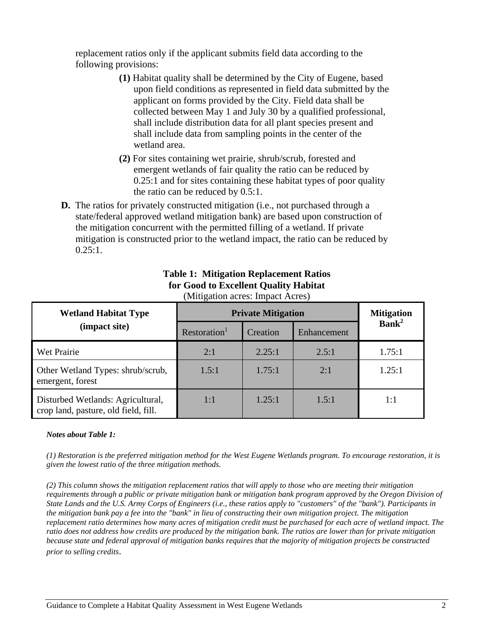replacement ratios only if the applicant submits field data according to the following provisions:

- **(1)** Habitat quality shall be determined by the City of Eugene, based upon field conditions as represented in field data submitted by the applicant on forms provided by the City. Field data shall be collected between May 1 and July 30 by a qualified professional, shall include distribution data for all plant species present and shall include data from sampling points in the center of the wetland area.
- **(2)** For sites containing wet prairie, shrub/scrub, forested and emergent wetlands of fair quality the ratio can be reduced by 0.25:1 and for sites containing these habitat types of poor quality the ratio can be reduced by 0.5:1.
- **D.** The ratios for privately constructed mitigation (i.e., not purchased through a state/federal approved wetland mitigation bank) are based upon construction of the mitigation concurrent with the permitted filling of a wetland. If private mitigation is constructed prior to the wetland impact, the ratio can be reduced by  $0.25:1$ .

| <b>Wetland Habitat Type</b>                                               | <b>Private Mitigation</b>            | <b>Mitigation</b> |             |                   |  |
|---------------------------------------------------------------------------|--------------------------------------|-------------------|-------------|-------------------|--|
| (impact site)                                                             | Restoration <sup>1</sup><br>Creation |                   | Enhancement | Bank <sup>2</sup> |  |
| Wet Prairie                                                               | 2:1                                  | 2.25:1            | 2.5:1       | 1.75:1            |  |
| Other Wetland Types: shrub/scrub,<br>emergent, forest                     | 1.5:1                                | 1.75:1            | 2:1         | 1.25:1            |  |
| Disturbed Wetlands: Agricultural,<br>crop land, pasture, old field, fill. | 1:1                                  | 1.25:1            | 1.5:1       | 1:1               |  |

#### **Table 1: Mitigation Replacement Ratios for Good to Excellent Quality Habitat**  (Mitigation acres: Impact Acres)

#### *Notes about Table 1:*

*(1) Restoration is the preferred mitigation method for the West Eugene Wetlands program. To encourage restoration, it is given the lowest ratio of the three mitigation methods.* 

*(2) This column shows the mitigation replacement ratios that will apply to those who are meeting their mitigation requirements through a public or private mitigation bank or mitigation bank program approved by the Oregon Division of State Lands and the U.S. Army Corps of Engineers (i.e., these ratios apply to "customers" of the "bank"). Participants in the mitigation bank pay a fee into the "bank" in lieu of constructing their own mitigation project. The mitigation replacement ratio determines how many acres of mitigation credit must be purchased for each acre of wetland impact. The ratio does not address how credits are produced by the mitigation bank. The ratios are lower than for private mitigation because state and federal approval of mitigation banks requires that the majority of mitigation projects be constructed prior to selling credits*.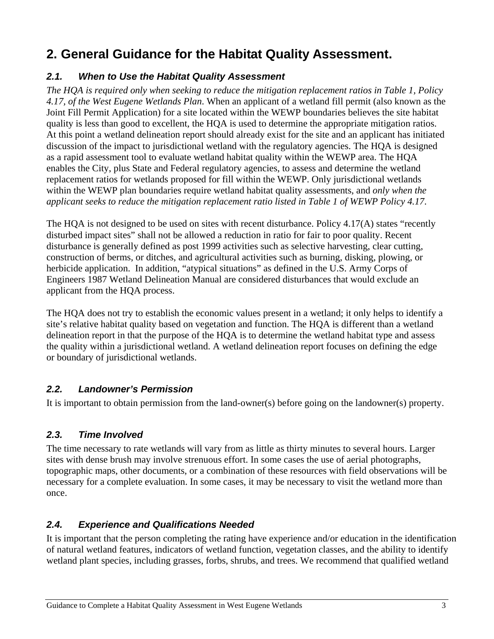# <span id="page-4-0"></span>**2. General Guidance for the Habitat Quality Assessment.**

## *2.1. When to Use the Habitat Quality Assessment*

*The HQA is required only when seeking to reduce the mitigation replacement ratios in Table 1, Policy 4.17, of the West Eugene Wetlands Plan*. When an applicant of a wetland fill permit (also known as the Joint Fill Permit Application) for a site located within the WEWP boundaries believes the site habitat quality is less than good to excellent, the HQA is used to determine the appropriate mitigation ratios. At this point a wetland delineation report should already exist for the site and an applicant has initiated discussion of the impact to jurisdictional wetland with the regulatory agencies. The HQA is designed as a rapid assessment tool to evaluate wetland habitat quality within the WEWP area. The HQA enables the City, plus State and Federal regulatory agencies, to assess and determine the wetland replacement ratios for wetlands proposed for fill within the WEWP. Only jurisdictional wetlands within the WEWP plan boundaries require wetland habitat quality assessments, and *only when the applicant seeks to reduce the mitigation replacement ratio listed in Table 1 of WEWP Policy 4.17*.

The HQA is not designed to be used on sites with recent disturbance. Policy 4.17(A) states "recently disturbed impact sites" shall not be allowed a reduction in ratio for fair to poor quality. Recent disturbance is generally defined as post 1999 activities such as selective harvesting, clear cutting, construction of berms, or ditches, and agricultural activities such as burning, disking, plowing, or herbicide application. In addition, "atypical situations" as defined in the U.S. Army Corps of Engineers 1987 Wetland Delineation Manual are considered disturbances that would exclude an applicant from the HQA process.

The HQA does not try to establish the economic values present in a wetland; it only helps to identify a site's relative habitat quality based on vegetation and function. The HQA is different than a wetland delineation report in that the purpose of the HQA is to determine the wetland habitat type and assess the quality within a jurisdictional wetland. A wetland delineation report focuses on defining the edge or boundary of jurisdictional wetlands.

### *2.2. Landowner's Permission*

It is important to obtain permission from the land-owner(s) before going on the landowner(s) property.

# *2.3. Time Involved*

The time necessary to rate wetlands will vary from as little as thirty minutes to several hours. Larger sites with dense brush may involve strenuous effort. In some cases the use of aerial photographs, topographic maps, other documents, or a combination of these resources with field observations will be necessary for a complete evaluation. In some cases, it may be necessary to visit the wetland more than once.

# *2.4. Experience and Qualifications Needed*

It is important that the person completing the rating have experience and/or education in the identification of natural wetland features, indicators of wetland function, vegetation classes, and the ability to identify wetland plant species, including grasses, forbs, shrubs, and trees. We recommend that qualified wetland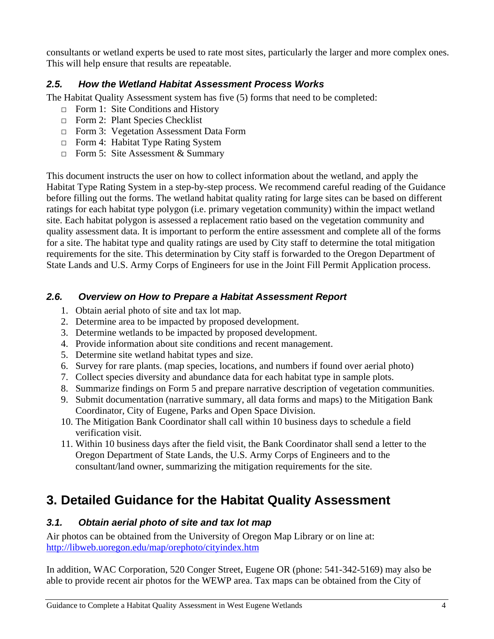<span id="page-5-0"></span>consultants or wetland experts be used to rate most sites, particularly the larger and more complex ones. This will help ensure that results are repeatable.

### *2.5. How the Wetland Habitat Assessment Process Works*

The Habitat Quality Assessment system has five (5) forms that need to be completed:

- □ Form 1: Site Conditions and History
- □ Form 2: Plant Species Checklist
- □ Form 3: Vegetation Assessment Data Form
- □ Form 4: Habitat Type Rating System
- $\Box$  Form 5: Site Assessment & Summary

This document instructs the user on how to collect information about the wetland, and apply the Habitat Type Rating System in a step-by-step process. We recommend careful reading of the Guidance before filling out the forms. The wetland habitat quality rating for large sites can be based on different ratings for each habitat type polygon (i.e. primary vegetation community) within the impact wetland site. Each habitat polygon is assessed a replacement ratio based on the vegetation community and quality assessment data. It is important to perform the entire assessment and complete all of the forms for a site. The habitat type and quality ratings are used by City staff to determine the total mitigation requirements for the site. This determination by City staff is forwarded to the Oregon Department of State Lands and U.S. Army Corps of Engineers for use in the Joint Fill Permit Application process.

## *2.6. Overview on How to Prepare a Habitat Assessment Report*

- 1. Obtain aerial photo of site and tax lot map.
- 2. Determine area to be impacted by proposed development.
- 3. Determine wetlands to be impacted by proposed development.
- 4. Provide information about site conditions and recent management.
- 5. Determine site wetland habitat types and size.
- 6. Survey for rare plants. (map species, locations, and numbers if found over aerial photo)
- 7. Collect species diversity and abundance data for each habitat type in sample plots.
- 8. Summarize findings on Form 5 and prepare narrative description of vegetation communities.
- 9. Submit documentation (narrative summary, all data forms and maps) to the Mitigation Bank Coordinator, City of Eugene, Parks and Open Space Division.
- 10. The Mitigation Bank Coordinator shall call within 10 business days to schedule a field verification visit.
- 11. Within 10 business days after the field visit, the Bank Coordinator shall send a letter to the Oregon Department of State Lands, the U.S. Army Corps of Engineers and to the consultant/land owner, summarizing the mitigation requirements for the site.

# **3. Detailed Guidance for the Habitat Quality Assessment**

### *3.1. Obtain aerial photo of site and tax lot map*

Air photos can be obtained from the University of Oregon Map Library or on line at: <http://libweb.uoregon.edu/map/orephoto/cityindex.htm>

In addition, WAC Corporation, 520 Conger Street, Eugene OR (phone: 541-342-5169) may also be able to provide recent air photos for the WEWP area. Tax maps can be obtained from the City of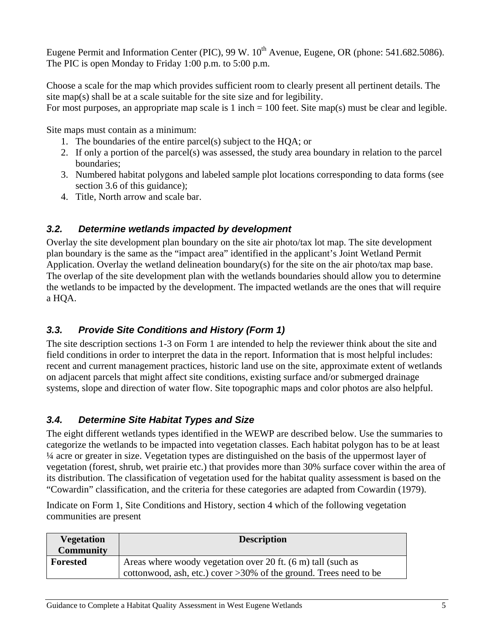<span id="page-6-0"></span>Eugene Permit and Information Center (PIC), 99 W. 10<sup>th</sup> Avenue, Eugene, OR (phone: 541.682.5086). The PIC is open Monday to Friday 1:00 p.m. to 5:00 p.m.

Choose a scale for the map which provides sufficient room to clearly present all pertinent details. The site map(s) shall be at a scale suitable for the site size and for legibility.

For most purposes, an appropriate map scale is 1 inch  $= 100$  feet. Site map(s) must be clear and legible.

Site maps must contain as a minimum:

- 1. The boundaries of the entire parcel(s) subject to the HQA; or
- 2. If only a portion of the parcel(s) was assessed, the study area boundary in relation to the parcel boundaries;
- 3. Numbered habitat polygons and labeled sample plot locations corresponding to data forms (see section 3.6 of this guidance);
- 4. Title, North arrow and scale bar.

# *3.2. Determine wetlands impacted by development*

Overlay the site development plan boundary on the site air photo/tax lot map. The site development plan boundary is the same as the "impact area" identified in the applicant's Joint Wetland Permit Application. Overlay the wetland delineation boundary(s) for the site on the air photo/tax map base. The overlap of the site development plan with the wetlands boundaries should allow you to determine the wetlands to be impacted by the development. The impacted wetlands are the ones that will require a HQA.

# *3.3. Provide Site Conditions and History (Form 1)*

The site description sections 1-3 on Form 1 are intended to help the reviewer think about the site and field conditions in order to interpret the data in the report. Information that is most helpful includes: recent and current management practices, historic land use on the site, approximate extent of wetlands on adjacent parcels that might affect site conditions, existing surface and/or submerged drainage systems, slope and direction of water flow. Site topographic maps and color photos are also helpful.

# *3.4. Determine Site Habitat Types and Size*

The eight different wetlands types identified in the WEWP are described below. Use the summaries to categorize the wetlands to be impacted into vegetation classes. Each habitat polygon has to be at least ¼ acre or greater in size. Vegetation types are distinguished on the basis of the uppermost layer of vegetation (forest, shrub, wet prairie etc.) that provides more than 30% surface cover within the area of its distribution. The classification of vegetation used for the habitat quality assessment is based on the "Cowardin" classification, and the criteria for these categories are adapted from Cowardin (1979).

Indicate on Form 1, Site Conditions and History, section 4 which of the following vegetation communities are present

| <b>Vegetation</b><br><b>Community</b> | <b>Description</b>                                                                                                                   |
|---------------------------------------|--------------------------------------------------------------------------------------------------------------------------------------|
| <b>Forested</b>                       | Areas where woody vegetation over 20 ft. (6 m) tall (such as<br>cottonwood, ash, etc.) cover $>30\%$ of the ground. Trees need to be |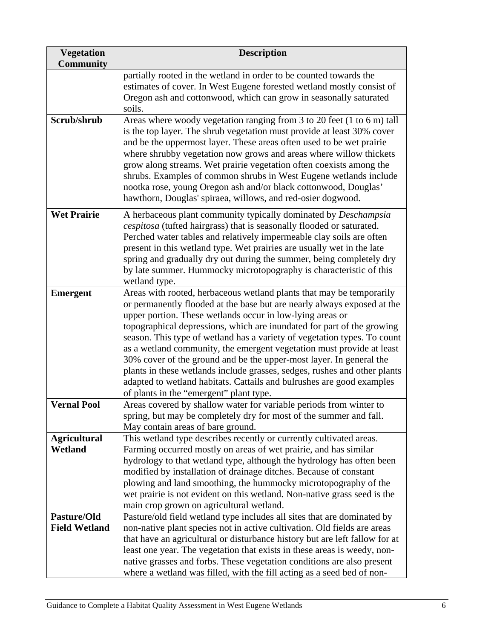| <b>Vegetation</b><br><b>Community</b> | <b>Description</b>                                                                                                                                                                                                                                                                                                                                                                                                                                                                                                                                                                                                                                                                                                  |
|---------------------------------------|---------------------------------------------------------------------------------------------------------------------------------------------------------------------------------------------------------------------------------------------------------------------------------------------------------------------------------------------------------------------------------------------------------------------------------------------------------------------------------------------------------------------------------------------------------------------------------------------------------------------------------------------------------------------------------------------------------------------|
|                                       | partially rooted in the wetland in order to be counted towards the<br>estimates of cover. In West Eugene forested wetland mostly consist of<br>Oregon ash and cottonwood, which can grow in seasonally saturated<br>soils.                                                                                                                                                                                                                                                                                                                                                                                                                                                                                          |
| Scrub/shrub                           | Areas where woody vegetation ranging from 3 to 20 feet (1 to 6 m) tall<br>is the top layer. The shrub vegetation must provide at least 30% cover<br>and be the uppermost layer. These areas often used to be wet prairie<br>where shrubby vegetation now grows and areas where willow thickets<br>grow along streams. Wet prairie vegetation often coexists among the<br>shrubs. Examples of common shrubs in West Eugene wetlands include<br>nootka rose, young Oregon ash and/or black cottonwood, Douglas'<br>hawthorn, Douglas' spiraea, willows, and red-osier dogwood.                                                                                                                                        |
| <b>Wet Prairie</b>                    | A herbaceous plant community typically dominated by Deschampsia<br><i>cespitosa</i> (tufted hairgrass) that is seasonally flooded or saturated.<br>Perched water tables and relatively impermeable clay soils are often<br>present in this wetland type. Wet prairies are usually wet in the late<br>spring and gradually dry out during the summer, being completely dry<br>by late summer. Hummocky microtopography is characteristic of this<br>wetland type.                                                                                                                                                                                                                                                    |
| <b>Emergent</b>                       | Areas with rooted, herbaceous wetland plants that may be temporarily<br>or permanently flooded at the base but are nearly always exposed at the<br>upper portion. These wetlands occur in low-lying areas or<br>topographical depressions, which are inundated for part of the growing<br>season. This type of wetland has a variety of vegetation types. To count<br>as a wetland community, the emergent vegetation must provide at least<br>30% cover of the ground and be the upper-most layer. In general the<br>plants in these wetlands include grasses, sedges, rushes and other plants<br>adapted to wetland habitats. Cattails and bulrushes are good examples<br>of plants in the "emergent" plant type. |
| <b>Vernal Pool</b>                    | Areas covered by shallow water for variable periods from winter to<br>spring, but may be completely dry for most of the summer and fall.<br>May contain areas of bare ground.                                                                                                                                                                                                                                                                                                                                                                                                                                                                                                                                       |
| <b>Agricultural</b><br><b>Wetland</b> | This wetland type describes recently or currently cultivated areas.<br>Farming occurred mostly on areas of wet prairie, and has similar<br>hydrology to that wetland type, although the hydrology has often been<br>modified by installation of drainage ditches. Because of constant<br>plowing and land smoothing, the hummocky microtopography of the<br>wet prairie is not evident on this wetland. Non-native grass seed is the<br>main crop grown on agricultural wetland.                                                                                                                                                                                                                                    |
| Pasture/Old<br><b>Field Wetland</b>   | Pasture/old field wetland type includes all sites that are dominated by<br>non-native plant species not in active cultivation. Old fields are areas<br>that have an agricultural or disturbance history but are left fallow for at<br>least one year. The vegetation that exists in these areas is weedy, non-<br>native grasses and forbs. These vegetation conditions are also present<br>where a wetland was filled, with the fill acting as a seed bed of non-                                                                                                                                                                                                                                                  |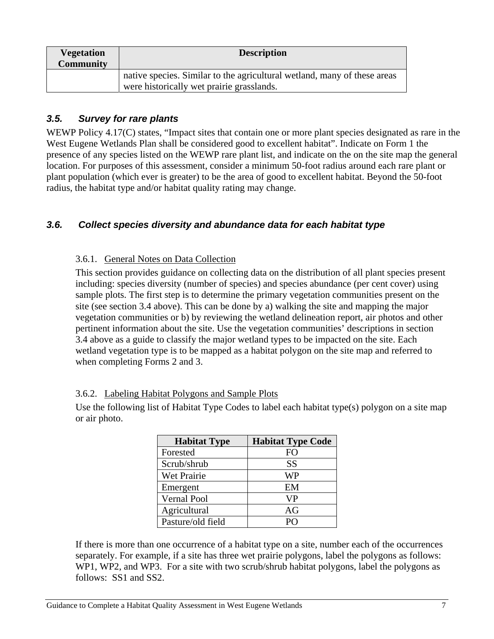<span id="page-8-0"></span>

| <b>Vegetation</b><br><b>Community</b> | <b>Description</b>                                                                                                    |
|---------------------------------------|-----------------------------------------------------------------------------------------------------------------------|
|                                       | native species. Similar to the agricultural wetland, many of these areas<br>were historically wet prairie grasslands. |

## *3.5. Survey for rare plants*

WEWP Policy 4.17(C) states, "Impact sites that contain one or more plant species designated as rare in the West Eugene Wetlands Plan shall be considered good to excellent habitat". Indicate on Form 1 the presence of any species listed on the WEWP rare plant list, and indicate on the on the site map the general location. For purposes of this assessment, consider a minimum 50-foot radius around each rare plant or plant population (which ever is greater) to be the area of good to excellent habitat. Beyond the 50-foot radius, the habitat type and/or habitat quality rating may change.

### *3.6. Collect species diversity and abundance data for each habitat type*

#### 3.6.1. General Notes on Data Collection

This section provides guidance on collecting data on the distribution of all plant species present including: species diversity (number of species) and species abundance (per cent cover) using sample plots. The first step is to determine the primary vegetation communities present on the site (see section 3.4 above). This can be done by a) walking the site and mapping the major vegetation communities or b) by reviewing the wetland delineation report, air photos and other pertinent information about the site. Use the vegetation communities' descriptions in section 3.4 above as a guide to classify the major wetland types to be impacted on the site. Each wetland vegetation type is to be mapped as a habitat polygon on the site map and referred to when completing Forms 2 and 3.

#### 3.6.2. Labeling Habitat Polygons and Sample Plots

Use the following list of Habitat Type Codes to label each habitat type(s) polygon on a site map or air photo.

| <b>Habitat Type</b> | <b>Habitat Type Code</b> |
|---------------------|--------------------------|
| Forested            | FO                       |
| Scrub/shrub         | <b>SS</b>                |
| Wet Prairie         | WP                       |
| Emergent            | EM                       |
| Vernal Pool         | <b>VP</b>                |
| Agricultural        | AG                       |
| Pasture/old field   |                          |

If there is more than one occurrence of a habitat type on a site, number each of the occurrences separately. For example, if a site has three wet prairie polygons, label the polygons as follows: WP1, WP2, and WP3. For a site with two scrub/shrub habitat polygons, label the polygons as follows: SS1 and SS2.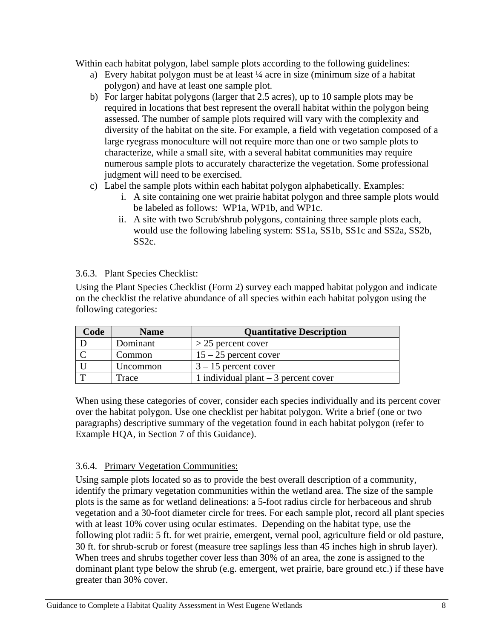<span id="page-9-0"></span>Within each habitat polygon, label sample plots according to the following guidelines:

- a) Every habitat polygon must be at least ¼ acre in size (minimum size of a habitat polygon) and have at least one sample plot.
- b) For larger habitat polygons (larger that 2.5 acres), up to 10 sample plots may be required in locations that best represent the overall habitat within the polygon being assessed. The number of sample plots required will vary with the complexity and diversity of the habitat on the site. For example, a field with vegetation composed of a large ryegrass monoculture will not require more than one or two sample plots to characterize, while a small site, with a several habitat communities may require numerous sample plots to accurately characterize the vegetation. Some professional judgment will need to be exercised.
- c) Label the sample plots within each habitat polygon alphabetically. Examples:
	- i. A site containing one wet prairie habitat polygon and three sample plots would be labeled as follows: WP1a, WP1b, and WP1c.
	- ii. A site with two Scrub/shrub polygons, containing three sample plots each, would use the following labeling system: SS1a, SS1b, SS1c and SS2a, SS2b, SS2c.

#### 3.6.3. Plant Species Checklist:

Using the Plant Species Checklist (Form 2) survey each mapped habitat polygon and indicate on the checklist the relative abundance of all species within each habitat polygon using the following categories:

| Code | <b>Name</b> | <b>Quantitative Description</b>       |
|------|-------------|---------------------------------------|
|      | Dominant    | $>$ 25 percent cover                  |
|      | Common      | $15 - 25$ percent cover               |
|      | Uncommon    | $3 - 15$ percent cover                |
|      | Trace       | 1 individual plant $-3$ percent cover |

When using these categories of cover, consider each species individually and its percent cover over the habitat polygon. Use one checklist per habitat polygon. Write a brief (one or two paragraphs) descriptive summary of the vegetation found in each habitat polygon (refer to Example HQA, in Section 7 of this Guidance).

### 3.6.4. Primary Vegetation Communities:

Using sample plots located so as to provide the best overall description of a community, identify the primary vegetation communities within the wetland area. The size of the sample plots is the same as for wetland delineations: a 5-foot radius circle for herbaceous and shrub vegetation and a 30-foot diameter circle for trees. For each sample plot, record all plant species with at least 10% cover using ocular estimates. Depending on the habitat type, use the following plot radii: 5 ft. for wet prairie, emergent, vernal pool, agriculture field or old pasture, 30 ft. for shrub-scrub or forest (measure tree saplings less than 45 inches high in shrub layer). When trees and shrubs together cover less than 30% of an area, the zone is assigned to the dominant plant type below the shrub (e.g. emergent, wet prairie, bare ground etc.) if these have greater than 30% cover.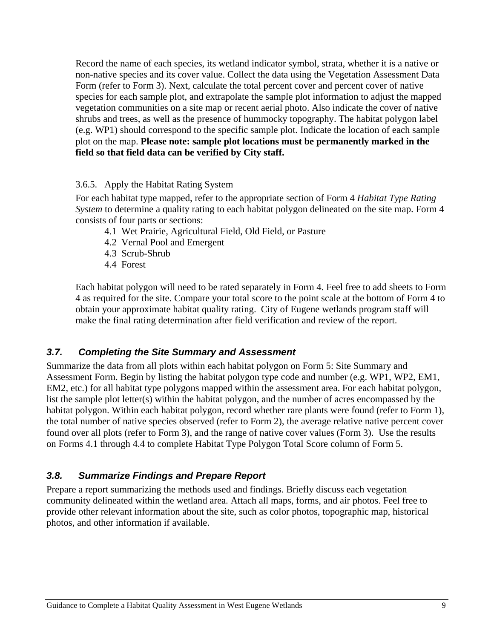<span id="page-10-0"></span>Record the name of each species, its wetland indicator symbol, strata, whether it is a native or non-native species and its cover value. Collect the data using the Vegetation Assessment Data Form (refer to Form 3). Next, calculate the total percent cover and percent cover of native species for each sample plot, and extrapolate the sample plot information to adjust the mapped vegetation communities on a site map or recent aerial photo. Also indicate the cover of native shrubs and trees, as well as the presence of hummocky topography. The habitat polygon label (e.g. WP1) should correspond to the specific sample plot. Indicate the location of each sample plot on the map. **Please note: sample plot locations must be permanently marked in the field so that field data can be verified by City staff.** 

#### 3.6.5. Apply the Habitat Rating System

For each habitat type mapped, refer to the appropriate section of Form 4 *Habitat Type Rating System* to determine a quality rating to each habitat polygon delineated on the site map. Form 4 consists of four parts or sections:

- 4.1 Wet Prairie, Agricultural Field, Old Field, or Pasture
- 4.2 Vernal Pool and Emergent
- 4.3 Scrub-Shrub
- 4.4 Forest

Each habitat polygon will need to be rated separately in Form 4. Feel free to add sheets to Form 4 as required for the site. Compare your total score to the point scale at the bottom of Form 4 to obtain your approximate habitat quality rating. City of Eugene wetlands program staff will make the final rating determination after field verification and review of the report.

### *3.7. Completing the Site Summary and Assessment*

Summarize the data from all plots within each habitat polygon on Form 5: Site Summary and Assessment Form. Begin by listing the habitat polygon type code and number (e.g. WP1, WP2, EM1, EM2, etc.) for all habitat type polygons mapped within the assessment area. For each habitat polygon, list the sample plot letter(s) within the habitat polygon, and the number of acres encompassed by the habitat polygon. Within each habitat polygon, record whether rare plants were found (refer to Form 1), the total number of native species observed (refer to Form 2), the average relative native percent cover found over all plots (refer to Form 3), and the range of native cover values (Form 3). Use the results on Forms 4.1 through 4.4 to complete Habitat Type Polygon Total Score column of Form 5.

# *3.8. Summarize Findings and Prepare Report*

Prepare a report summarizing the methods used and findings. Briefly discuss each vegetation community delineated within the wetland area. Attach all maps, forms, and air photos. Feel free to provide other relevant information about the site, such as color photos, topographic map, historical photos, and other information if available.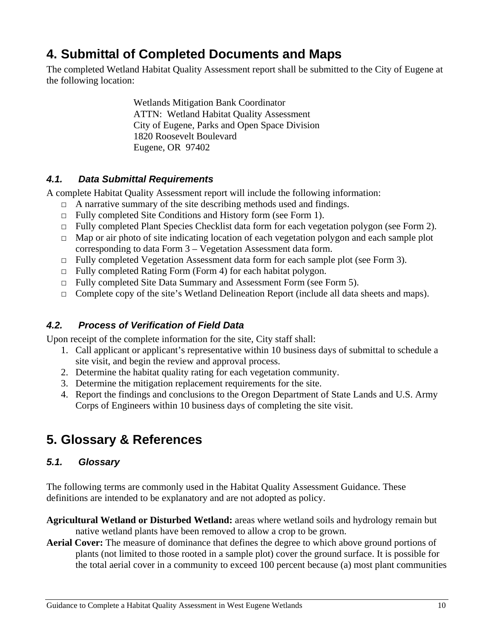# <span id="page-11-0"></span>**4. Submittal of Completed Documents and Maps**

The completed Wetland Habitat Quality Assessment report shall be submitted to the City of Eugene at the following location:

> Wetlands Mitigation Bank Coordinator ATTN: Wetland Habitat Quality Assessment City of Eugene, Parks and Open Space Division 1820 Roosevelt Boulevard Eugene, OR 97402

## *4.1. Data Submittal Requirements*

A complete Habitat Quality Assessment report will include the following information:

- $\Box$  A narrative summary of the site describing methods used and findings.
- □ Fully completed Site Conditions and History form (see Form 1).
- □ Fully completed Plant Species Checklist data form for each vegetation polygon (see Form 2).
- $\Box$  Map or air photo of site indicating location of each vegetation polygon and each sample plot corresponding to data Form 3 – Vegetation Assessment data form.
- □ Fully completed Vegetation Assessment data form for each sample plot (see Form 3).
- $\Box$  Fully completed Rating Form (Form 4) for each habitat polygon.
- □ Fully completed Site Data Summary and Assessment Form (see Form 5).
- □ Complete copy of the site's Wetland Delineation Report (include all data sheets and maps).

# *4.2. Process of Verification of Field Data*

Upon receipt of the complete information for the site, City staff shall:

- 1. Call applicant or applicant's representative within 10 business days of submittal to schedule a site visit, and begin the review and approval process.
- 2. Determine the habitat quality rating for each vegetation community.
- 3. Determine the mitigation replacement requirements for the site.
- 4. Report the findings and conclusions to the Oregon Department of State Lands and U.S. Army Corps of Engineers within 10 business days of completing the site visit.

# **5. Glossary & References**

# *5.1. Glossary*

The following terms are commonly used in the Habitat Quality Assessment Guidance. These definitions are intended to be explanatory and are not adopted as policy.

- **Agricultural Wetland or Disturbed Wetland:** areas where wetland soils and hydrology remain but native wetland plants have been removed to allow a crop to be grown.
- **Aerial Cover:** The measure of dominance that defines the degree to which above ground portions of plants (not limited to those rooted in a sample plot) cover the ground surface. It is possible for the total aerial cover in a community to exceed 100 percent because (a) most plant communities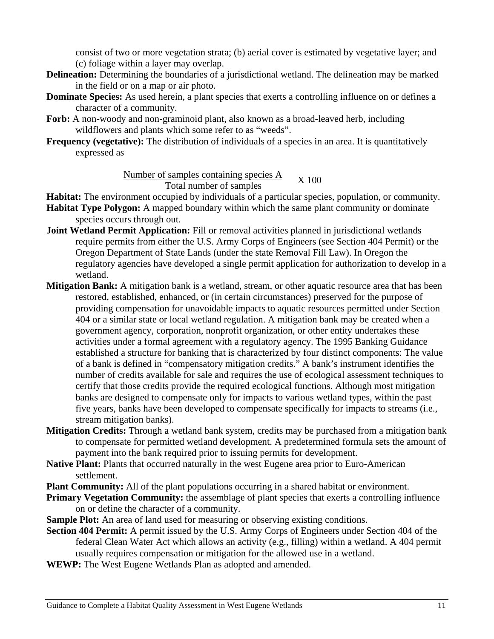consist of two or more vegetation strata; (b) aerial cover is estimated by vegetative layer; and (c) foliage within a layer may overlap.

- **Delineation:** Determining the boundaries of a jurisdictional wetland. The delineation may be marked in the field or on a map or air photo.
- **Dominate Species:** As used herein, a plant species that exerts a controlling influence on or defines a character of a community.
- **Forb:** A non-woody and non-graminoid plant, also known as a broad-leaved herb, including wildflowers and plants which some refer to as "weeds".
- **Frequency (vegetative):** The distribution of individuals of a species in an area. It is quantitatively expressed as

Number of samples containing species A  $\frac{1}{\text{Sampling species A}}$   $X$  100

- **Habitat:** The environment occupied by individuals of a particular species, population, or community.
- **Habitat Type Polygon:** A mapped boundary within which the same plant community or dominate species occurs through out.
- **Joint Wetland Permit Application:** Fill or removal activities planned in jurisdictional wetlands require permits from either the U.S. Army Corps of Engineers (see Section 404 Permit) or the Oregon Department of State Lands (under the state Removal Fill Law). In Oregon the regulatory agencies have developed a single permit application for authorization to develop in a wetland.
- **Mitigation Bank:** A mitigation bank is a wetland, stream, or other aquatic resource area that has been restored, established, enhanced, or (in certain circumstances) preserved for the purpose of providing compensation for unavoidable impacts to aquatic resources permitted under Section 404 or a similar state or local wetland regulation. A mitigation bank may be created when a government agency, corporation, nonprofit organization, or other entity undertakes these activities under a formal agreement with a regulatory agency. The 1995 Banking Guidance established a structure for banking that is characterized by four distinct components: The value of a bank is defined in "compensatory mitigation credits." A bank's instrument identifies the number of credits available for sale and requires the use of ecological assessment techniques to certify that those credits provide the required ecological functions. Although most mitigation banks are designed to compensate only for impacts to various wetland types, within the past five years, banks have been developed to compensate specifically for impacts to streams (i.e., stream mitigation banks).
- **Mitigation Credits:** Through a wetland bank system, credits may be purchased from a mitigation bank to compensate for permitted wetland development. A predetermined formula sets the amount of payment into the bank required prior to issuing permits for development.
- **Native Plant:** Plants that occurred naturally in the west Eugene area prior to Euro-American settlement.
- **Plant Community:** All of the plant populations occurring in a shared habitat or environment.
- **Primary Vegetation Community:** the assemblage of plant species that exerts a controlling influence on or define the character of a community.
- **Sample Plot:** An area of land used for measuring or observing existing conditions.
- **Section 404 Permit:** A permit issued by the U.S. Army Corps of Engineers under Section 404 of the federal Clean Water Act which allows an activity (e.g., filling) within a wetland. A 404 permit usually requires compensation or mitigation for the allowed use in a wetland.
- **WEWP:** The West Eugene Wetlands Plan as adopted and amended.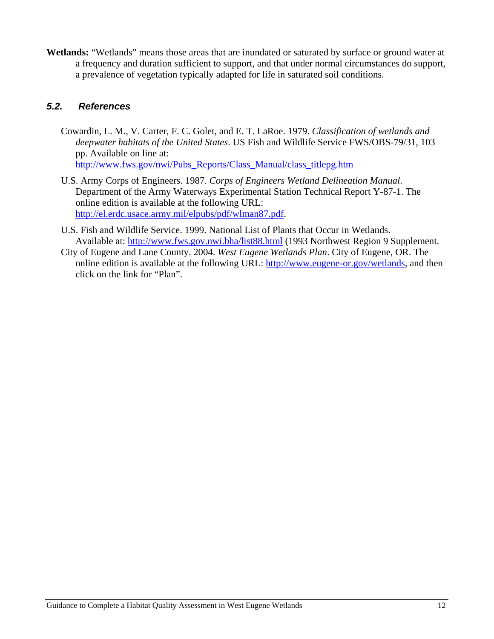<span id="page-13-0"></span>**Wetlands:** "Wetlands" means those areas that are inundated or saturated by surface or ground water at a frequency and duration sufficient to support, and that under normal circumstances do support, a prevalence of vegetation typically adapted for life in saturated soil conditions.

### *5.2. References*

Cowardin, L. M., V. Carter, F. C. Golet, and E. T. LaRoe. 1979. *Classification of wetlands and deepwater habitats of the United States*. US Fish and Wildlife Service FWS/OBS-79/31, 103 pp. Available on line at:

[http://www.fws.gov/nwi/Pubs\\_Reports/Class\\_Manual/class\\_titlepg.htm](http://www.fws.gov/nwi/Pubs_Reports/Class_Manual/class_titlepg.htm)

- U.S. Army Corps of Engineers. 1987. *Corps of Engineers Wetland Delineation Manual*. Department of the Army Waterways Experimental Station Technical Report Y-87-1. The online edition is available at the following URL: [http://el.erdc.usace.army.mil/elpubs/pdf/wlman87.pdf.](http://el.erdc.usace.army.mil/elpubs/pdf/wlman87.pdf)
- U.S. Fish and Wildlife Service. 1999. National List of Plants that Occur in Wetlands. Available at:<http://www.fws.gov.nwi.bha/list88.html>(1993 Northwest Region 9 Supplement.
- City of Eugene and Lane County. 2004. *West Eugene Wetlands Plan*. City of Eugene, OR. The online edition is available at the following URL: <http://www.eugene-or.gov/wetlands>, and then click on the link for "Plan".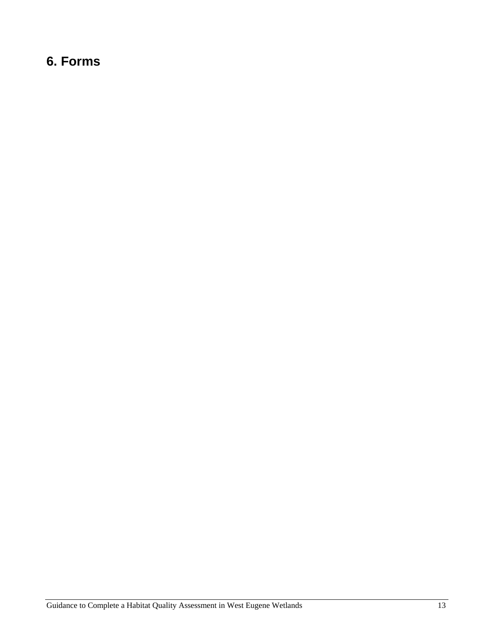# <span id="page-14-0"></span>**6. Forms**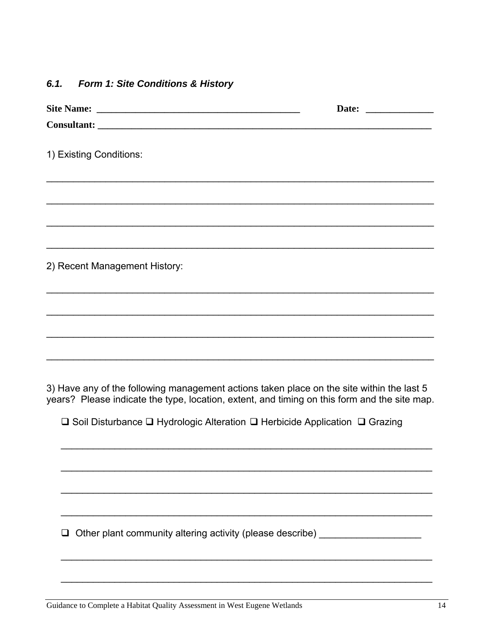#### <span id="page-15-0"></span> $6.1.$ Form 1: Site Conditions & History

| 1) Existing Conditions:                                                                                                                                                                   |  |
|-------------------------------------------------------------------------------------------------------------------------------------------------------------------------------------------|--|
|                                                                                                                                                                                           |  |
|                                                                                                                                                                                           |  |
|                                                                                                                                                                                           |  |
| 2) Recent Management History:                                                                                                                                                             |  |
|                                                                                                                                                                                           |  |
| ,我们也不会有什么。""我们的人,我们也不会有什么?""我们的人,我们也不会有什么?""我们的人,我们也不会有什么?""我们的人,我们也不会有什么?""我们的人                                                                                                          |  |
|                                                                                                                                                                                           |  |
| 3) Have any of the following management actions taken place on the site within the last 5<br>years? Please indicate the type, location, extent, and timing on this form and the site map. |  |
| $\square$ Soil Disturbance $\square$ Hydrologic Alteration $\square$ Herbicide Application $\square$ Grazing                                                                              |  |
|                                                                                                                                                                                           |  |
|                                                                                                                                                                                           |  |
|                                                                                                                                                                                           |  |
| Other plant community altering activity (please describe) ______________________                                                                                                          |  |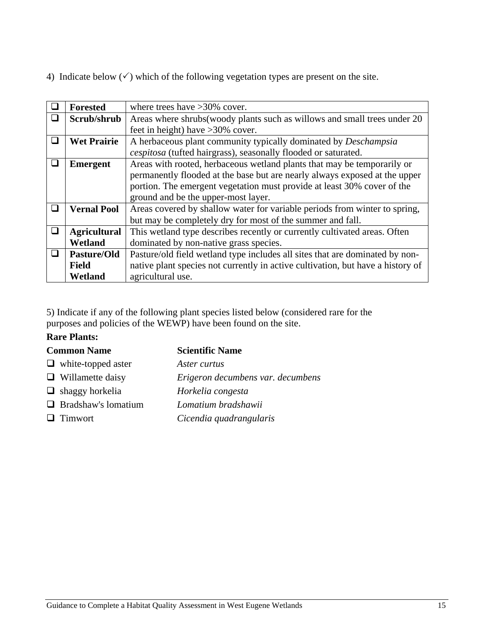4) Indicate below  $(\checkmark)$  which of the following vegetation types are present on the site.

|        | <b>Forested</b>     | where trees have $>30\%$ cover.                                                 |  |  |  |
|--------|---------------------|---------------------------------------------------------------------------------|--|--|--|
|        | Scrub/shrub         | Areas where shrubs (woody plants such as willows and small trees under 20       |  |  |  |
|        |                     | feet in height) have $>30\%$ cover.                                             |  |  |  |
| □      | <b>Wet Prairie</b>  | A herbaceous plant community typically dominated by <i>Deschampsia</i>          |  |  |  |
|        |                     | cespitosa (tufted hairgrass), seasonally flooded or saturated.                  |  |  |  |
| □      | <b>Emergent</b>     | Areas with rooted, herbaceous wetland plants that may be temporarily or         |  |  |  |
|        |                     | permanently flooded at the base but are nearly always exposed at the upper      |  |  |  |
|        |                     | portion. The emergent vegetation must provide at least 30% cover of the         |  |  |  |
|        |                     | ground and be the upper-most layer.                                             |  |  |  |
| $\Box$ | <b>Vernal Pool</b>  | Areas covered by shallow water for variable periods from winter to spring,      |  |  |  |
|        |                     | but may be completely dry for most of the summer and fall.                      |  |  |  |
| ❏      | <b>Agricultural</b> | This wetland type describes recently or currently cultivated areas. Often       |  |  |  |
|        | Wetland             | dominated by non-native grass species.                                          |  |  |  |
| $\Box$ | Pasture/Old         | Pasture/old field wetland type includes all sites that are dominated by non-    |  |  |  |
|        | <b>Field</b>        | native plant species not currently in active cultivation, but have a history of |  |  |  |
|        | Wetland             | agricultural use.                                                               |  |  |  |

5) Indicate if any of the following plant species listed below (considered rare for the purposes and policies of the WEWP) have been found on the site.

#### **Rare Plants:**

#### **Common Name Scientific Name**

| $\Box$ white-topped aster  | Aster curtus                      |
|----------------------------|-----------------------------------|
| $\Box$ Willamette daisy    | Erigeron decumbens var. decumbens |
| $\Box$ shaggy horkelia     | Horkelia congesta                 |
| $\Box$ Bradshaw's lomatium | Lomatium bradshawii               |
| $\Box$ Timwort             | Cicendia quadrangularis           |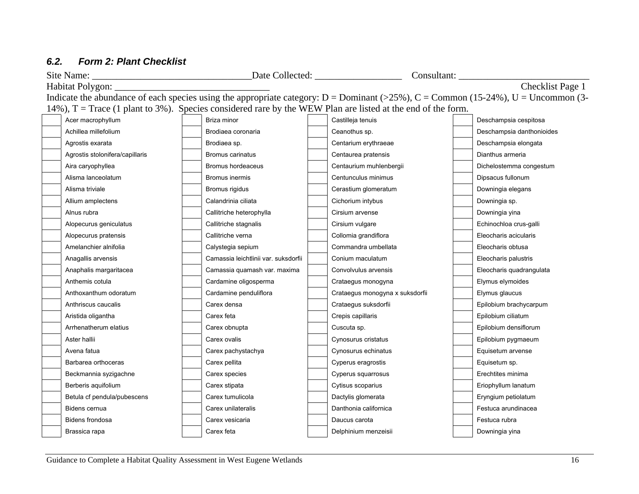#### *6.2.Form 2: Plant Checklist*

<span id="page-17-0"></span>

|                                                                                                                                         |                                                                                                               |  |                                      |  |                                 |  | Consultant:               |  |
|-----------------------------------------------------------------------------------------------------------------------------------------|---------------------------------------------------------------------------------------------------------------|--|--------------------------------------|--|---------------------------------|--|---------------------------|--|
|                                                                                                                                         | Checklist Page 1<br>Habitat Polygon:                                                                          |  |                                      |  |                                 |  |                           |  |
| Indicate the abundance of each species using the appropriate category: $D =$ Dominant (>25%), $C =$ Common (15-24%), $U =$ Uncommon (3- |                                                                                                               |  |                                      |  |                                 |  |                           |  |
|                                                                                                                                         | 14%), $T = Trace$ (1 plant to 3%). Species considered rare by the WEW Plan are listed at the end of the form. |  |                                      |  |                                 |  |                           |  |
|                                                                                                                                         | Acer macrophyllum                                                                                             |  | Briza minor                          |  | Castilleja tenuis               |  | Deschampsia cespitosa     |  |
|                                                                                                                                         | Achillea millefolium                                                                                          |  | Brodiaea coronaria                   |  | Ceanothus sp.                   |  | Deschampsia danthonioides |  |
|                                                                                                                                         | Agrostis exarata                                                                                              |  | Brodiaea sp.                         |  | Centarium erythraeae            |  | Deschampsia elongata      |  |
|                                                                                                                                         | Agrostis stolonifera/capillaris                                                                               |  | Bromus carinatus                     |  | Centaurea pratensis             |  | Dianthus armeria          |  |
|                                                                                                                                         | Aira caryophyllea                                                                                             |  | Bromus hordeaceus                    |  | Centaurium muhlenbergii         |  | Dichelostemma congestum   |  |
|                                                                                                                                         | Alisma lanceolatum                                                                                            |  | Bromus inermis                       |  | Centunculus minimus             |  | Dipsacus fullonum         |  |
|                                                                                                                                         | Alisma triviale                                                                                               |  | Bromus rigidus                       |  | Cerastium glomeratum            |  | Downingia elegans         |  |
|                                                                                                                                         | Allium amplectens                                                                                             |  | Calandrinia ciliata                  |  | Cichorium intybus               |  | Downingia sp.             |  |
|                                                                                                                                         | Alnus rubra                                                                                                   |  | Callitriche heterophylla             |  | Cirsium arvense                 |  | Downingia yina            |  |
|                                                                                                                                         | Alopecurus geniculatus                                                                                        |  | Callitriche stagnalis                |  | Cirsium vulgare                 |  | Echinochloa crus-galli    |  |
|                                                                                                                                         | Alopecurus pratensis                                                                                          |  | Callitriche verna                    |  | Collomia grandiflora            |  | Eleocharis acicularis     |  |
|                                                                                                                                         | Amelanchier alnifolia                                                                                         |  | Calystegia sepium                    |  | Commandra umbellata             |  | Eleocharis obtusa         |  |
|                                                                                                                                         | Anagallis arvensis                                                                                            |  | Camassia leichtlinii var. suksdorfii |  | Conium maculatum                |  | Eleocharis palustris      |  |
|                                                                                                                                         | Anaphalis margaritacea                                                                                        |  | Camassia quamash var. maxima         |  | Convolvulus arvensis            |  | Eleocharis quadrangulata  |  |
|                                                                                                                                         | Anthemis cotula                                                                                               |  | Cardamine oligosperma                |  | Crataegus monogyna              |  | Elymus elymoides          |  |
|                                                                                                                                         | Anthoxanthum odoratum                                                                                         |  | Cardamine penduliflora               |  | Crataegus monogyna x suksdorfii |  | Elymus glaucus            |  |
|                                                                                                                                         | Anthriscus caucalis                                                                                           |  | Carex densa                          |  | Crataegus suksdorfii            |  | Epilobium brachycarpum    |  |
|                                                                                                                                         | Aristida oligantha                                                                                            |  | Carex feta                           |  | Crepis capillaris               |  | Epilobium ciliatum        |  |
|                                                                                                                                         | Arrhenatherum elatius                                                                                         |  | Carex obnupta                        |  | Cuscuta sp.                     |  | Epilobium densiflorum     |  |
|                                                                                                                                         | Aster hallii                                                                                                  |  | Carex ovalis                         |  | Cynosurus cristatus             |  | Epilobium pygmaeum        |  |
|                                                                                                                                         | Avena fatua                                                                                                   |  | Carex pachystachya                   |  | Cynosurus echinatus             |  | Equisetum arvense         |  |
|                                                                                                                                         | Barbarea orthoceras                                                                                           |  | Carex pellita                        |  | Cyperus eragrostis              |  | Equisetum sp.             |  |
|                                                                                                                                         | Beckmannia syzigachne                                                                                         |  | Carex species                        |  | Cyperus squarrosus              |  | Erechtites minima         |  |
|                                                                                                                                         | Berberis aquifolium                                                                                           |  | Carex stipata                        |  | Cytisus scoparius               |  | Eriophyllum lanatum       |  |
|                                                                                                                                         | Betula cf pendula/pubescens                                                                                   |  | Carex tumulicola                     |  | Dactylis glomerata              |  | Eryngium petiolatum       |  |
|                                                                                                                                         | Bidens cernua                                                                                                 |  | Carex unilateralis                   |  | Danthonia californica           |  | Festuca arundinacea       |  |
|                                                                                                                                         | Bidens frondosa                                                                                               |  | Carex vesicaria                      |  | Daucus carota                   |  | Festuca rubra             |  |
|                                                                                                                                         | Brassica rapa                                                                                                 |  | Carex feta                           |  | Delphinium menzeisii            |  | Downingia yina            |  |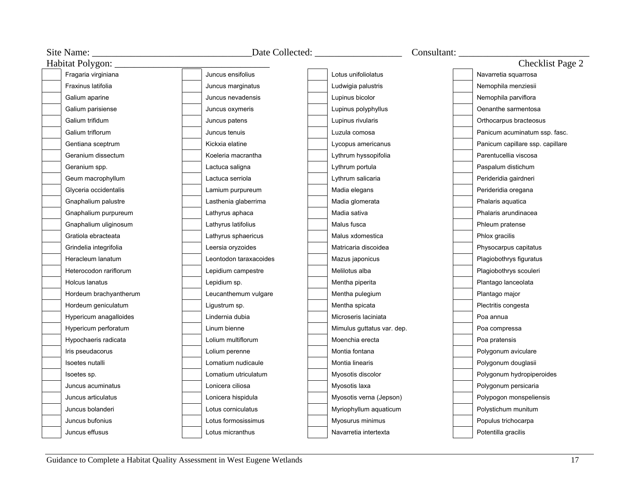|                               | Date Collected: ____________________ |                            |                                  |  |
|-------------------------------|--------------------------------------|----------------------------|----------------------------------|--|
| Habitat Polygon: ____________ |                                      |                            | Checklist Page 2                 |  |
| Fragaria virginiana           | Juncus ensifolius                    | Lotus unifoliolatus        | Navarretia squarrosa             |  |
| Fraxinus latifolia            | Juncus marginatus                    | Ludwigia palustris         | Nemophila menziesii              |  |
| Galium aparine                | Juncus nevadensis                    | Lupinus bicolor            | Nemophila parviflora             |  |
| Galium parisiense             | Juncus oxymeris                      | Lupinus polyphyllus        | Oenanthe sarmentosa              |  |
| Galium trifidum               | Juncus patens                        | Lupinus rivularis          | Orthocarpus bracteosus           |  |
| Galium triflorum              | Juncus tenuis                        | Luzula comosa              | Panicum acuminatum ssp. fasc.    |  |
| Gentiana sceptrum             | Kickxia elatine                      | Lycopus americanus         | Panicum capillare ssp. capillare |  |
| Geranium dissectum            | Koeleria macrantha                   | Lythrum hyssopifolia       | Parentucellia viscosa            |  |
| Geranium spp.                 | Lactuca saligna                      | Lythrum portula            | Paspalum distichum               |  |
| Geum macrophyllum             | Lactuca serriola                     | Lythrum salicaria          | Perideridia gairdneri            |  |
| Glyceria occidentalis         | Lamium purpureum                     | Madia elegans              | Perideridia oregana              |  |
| Gnaphalium palustre           | Lasthenia glaberrima                 | Madia glomerata            | Phalaris aquatica                |  |
| Gnaphalium purpureum          | Lathyrus aphaca                      | Madia sativa               | Phalaris arundinacea             |  |
| Gnaphalium uliginosum         | Lathyrus latifolius                  | Malus fusca                | Phleum pratense                  |  |
| Gratiola ebracteata           | Lathyrus sphaericus                  | Malus xdomestica           | Phlox gracilis                   |  |
| Grindelia integrifolia        | Leersia oryzoides                    | Matricaria discoidea       | Physocarpus capitatus            |  |
| Heracleum lanatum             | Leontodon taraxacoides               | Mazus japonicus            | Plagiobothrys figuratus          |  |
| Heterocodon rariflorum        | Lepidium campestre                   | Melilotus alba             | Plagiobothrys scouleri           |  |
| Holcus lanatus                | Lepidium sp.                         | Mentha piperita            | Plantago lanceolata              |  |
| Hordeum brachyantherum        | Leucanthemum vulgare                 | Mentha pulegium            | Plantago major                   |  |
| Hordeum geniculatum           | Ligustrum sp.                        | Mentha spicata             | Plectritis congesta              |  |
| Hypericum anagalloides        | Lindernia dubia                      | Microseris laciniata       | Poa annua                        |  |
| Hypericum perforatum          | Linum bienne                         | Mimulus guttatus var. dep. | Poa compressa                    |  |
| Hypochaeris radicata          | Lolium multiflorum                   | Moenchia erecta            | Poa pratensis                    |  |
| Iris pseudacorus              | Lolium perenne                       | Montia fontana             | Polygonum aviculare              |  |
| Isoetes nutalli               | Lomatium nudicaule                   | Montia linearis            | Polygonum douglasii              |  |
| Isoetes sp.                   | Lomatium utriculatum                 | Myosotis discolor          | Polygonum hydropiperoides        |  |
| Juncus acuminatus             | Lonicera ciliosa                     | Myosotis laxa              | Polygonum persicaria             |  |
| Juncus articulatus            | Lonicera hispidula                   | Myosotis verna (Jepson)    | Polypogon monspeliensis          |  |
| Juncus bolanderi              | Lotus corniculatus                   | Myriophyllum aquaticum     | Polystichum munitum              |  |
| Juncus bufonius               | Lotus formosissimus                  | Myosurus minimus           | Populus trichocarpa              |  |
| Juncus effusus                | Lotus micranthus                     | Navarretia intertexta      | Potentilla gracilis              |  |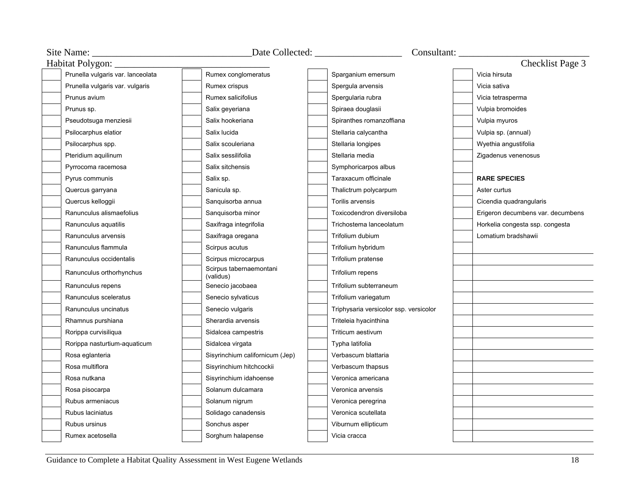| Site Name:                        |                                      |                                        | Consultant:                       |
|-----------------------------------|--------------------------------------|----------------------------------------|-----------------------------------|
| Habitat Polygon: __               |                                      |                                        | Checklist Page 3                  |
| Prunella vulgaris var. lanceolata | Rumex conglomeratus                  | Sparganium emersum                     | Vicia hirsuta                     |
| Prunella vulgaris var. vulgaris   | Rumex crispus                        | Spergula arvensis                      | Vicia sativa                      |
| Prunus avium                      | Rumex salicifolius                   | Spergularia rubra                      | Vicia tetrasperma                 |
| Prunus sp.                        | Salix geyeriana                      | Spiraea douglasii                      | Vulpia bromoides                  |
| Pseudotsuga menziesii             | Salix hookeriana                     | Spiranthes romanzoffiana               | Vulpia myuros                     |
| Psilocarphus elatior              | Salix lucida                         | Stellaria calycantha                   | Vulpia sp. (annual)               |
| Psilocarphus spp.                 | Salix scouleriana                    | Stellaria longipes                     | Wyethia angustifolia              |
| Pteridium aquilinum               | Salix sessilifolia                   | Stellaria media                        | Zigadenus venenosus               |
| Pyrrocoma racemosa                | Salix sitchensis                     | Symphoricarpos albus                   |                                   |
| Pyrus communis                    | Salix sp.                            | Taraxacum officinale                   | <b>RARE SPECIES</b>               |
| Quercus garryana                  | Sanicula sp.                         | Thalictrum polycarpum                  | Aster curtus                      |
| Quercus kelloggii                 | Sanguisorba annua                    | Torilis arvensis                       | Cicendia quadrangularis           |
| Ranunculus alismaefolius          | Sanguisorba minor                    | Toxicodendron diversiloba              | Erigeron decumbens var. decumbens |
| Ranunculus aquatilis              | Saxifraga integrifolia               | Trichostema lanceolatum                | Horkelia congesta ssp. congesta   |
| Ranunculus arvensis               | Saxifraga oregana                    | Trifolium dubium                       | Lomatium bradshawii               |
| Ranunculus flammula               | Scirpus acutus                       | Trifolium hybridum                     |                                   |
| Ranunculus occidentalis           | Scirpus microcarpus                  | Trifolium pratense                     |                                   |
| Ranunculus orthorhynchus          | Scirpus tabernaemontani<br>(validus) | Trifolium repens                       |                                   |
| Ranunculus repens                 | Senecio jacobaea                     | Trifolium subterraneum                 |                                   |
| Ranunculus sceleratus             | Senecio sylvaticus                   | Trifolium variegatum                   |                                   |
| Ranunculus uncinatus              | Senecio vulgaris                     | Triphysaria versicolor ssp. versicolor |                                   |
| Rhamnus purshiana                 | Sherardia arvensis                   | Triteleia hyacinthina                  |                                   |
| Rorippa curvisiliqua              | Sidalcea campestris                  | Triticum aestivum                      |                                   |
| Rorippa nasturtium-aquaticum      | Sidalcea virgata                     | Typha latifolia                        |                                   |
| Rosa eglanteria                   | Sisyrinchium californicum (Jep)      | Verbascum blattaria                    |                                   |
| Rosa multiflora                   | Sisyrinchium hitchcockii             | Verbascum thapsus                      |                                   |
| Rosa nutkana                      | Sisyrinchium idahoense               | Veronica americana                     |                                   |
| Rosa pisocarpa                    | Solanum dulcamara                    | Veronica arvensis                      |                                   |
| Rubus armeniacus                  | Solanum nigrum                       | Veronica peregrina                     |                                   |
| Rubus laciniatus                  | Solidago canadensis                  | Veronica scutellata                    |                                   |
| Rubus ursinus                     | Sonchus asper                        | Viburnum ellipticum                    |                                   |
| Rumex acetosella                  | Sorghum halapense                    | Vicia cracca                           |                                   |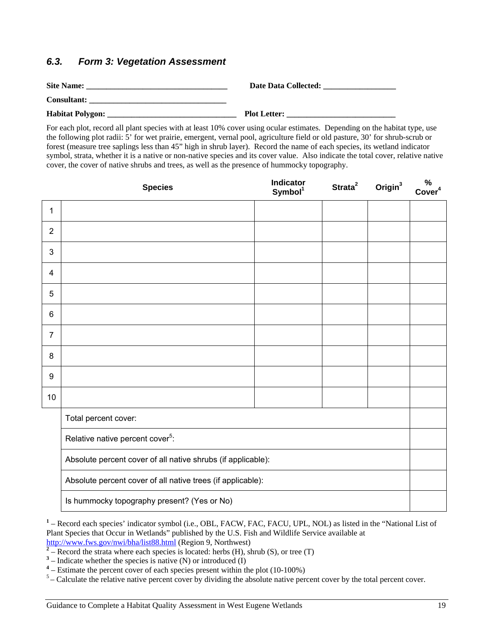#### <span id="page-20-0"></span>*6.3. Form 3: Vegetation Assessment*

| <b>Site Name:</b>       | Date Data Collected: |
|-------------------------|----------------------|
| <b>Consultant:</b>      |                      |
| <b>Habitat Polygon:</b> | <b>Plot Letter:</b>  |

For each plot, record all plant species with at least 10% cover using ocular estimates. Depending on the habitat type, use the following plot radii: 5' for wet prairie, emergent, vernal pool, agriculture field or old pasture, 30' for shrub-scrub or forest (measure tree saplings less than 45" high in shrub layer). Record the name of each species, its wetland indicator symbol, strata, whether it is a native or non-native species and its cover value. Also indicate the total cover, relative native cover, the cover of native shrubs and trees, as well as the presence of hummocky topography.

|                | <b>Species</b>                                               | Indicator<br>Symbol <sup>1</sup> | Strata <sup>2</sup> | Origin $3$ | %<br>Cover <sup>4</sup> |  |  |
|----------------|--------------------------------------------------------------|----------------------------------|---------------------|------------|-------------------------|--|--|
| $\mathbf{1}$   |                                                              |                                  |                     |            |                         |  |  |
| $\overline{2}$ |                                                              |                                  |                     |            |                         |  |  |
| 3              |                                                              |                                  |                     |            |                         |  |  |
| $\overline{4}$ |                                                              |                                  |                     |            |                         |  |  |
| 5              |                                                              |                                  |                     |            |                         |  |  |
| $\,6$          |                                                              |                                  |                     |            |                         |  |  |
| $\overline{7}$ |                                                              |                                  |                     |            |                         |  |  |
| 8              |                                                              |                                  |                     |            |                         |  |  |
| 9              |                                                              |                                  |                     |            |                         |  |  |
| 10             |                                                              |                                  |                     |            |                         |  |  |
|                | Total percent cover:                                         |                                  |                     |            |                         |  |  |
|                | Relative native percent cover <sup>5</sup> :                 |                                  |                     |            |                         |  |  |
|                | Absolute percent cover of all native shrubs (if applicable): |                                  |                     |            |                         |  |  |
|                | Absolute percent cover of all native trees (if applicable):  |                                  |                     |            |                         |  |  |
|                | Is hummocky topography present? (Yes or No)                  |                                  |                     |            |                         |  |  |

<sup>1</sup> – Record each species' indicator symbol (i.e., OBL, FACW, FAC, FACU, UPL, NOL) as listed in the "National List of Plant Species that Occur in Wetlands" published by the U.S. Fish and Wildlife Service available at

- <http://www.fws.gov/nwi/bha/list88.html> (Region 9, Northwest)<br><sup>2</sup> Record the strata where each species is located: herbs (H), shrub (S), or tree (T)
- $3$  Indicate whether the species is native (N) or introduced (I)
- <sup>4</sup> Estimate the percent cover of each species present within the plot (10-100%)
- $5 -$  Calculate the relative native percent cover by dividing the absolute native percent cover by the total percent cover.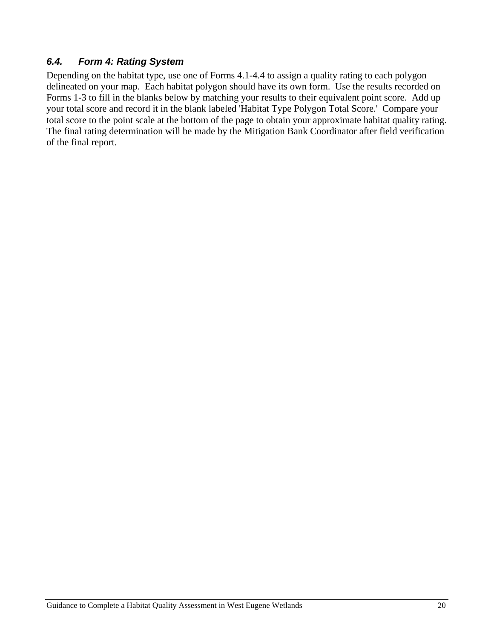### <span id="page-21-0"></span>*6.4. Form 4: Rating System*

Depending on the habitat type, use one of Forms 4.1-4.4 to assign a quality rating to each polygon delineated on your map. Each habitat polygon should have its own form. Use the results recorded on Forms 1-3 to fill in the blanks below by matching your results to their equivalent point score. Add up your total score and record it in the blank labeled 'Habitat Type Polygon Total Score.' Compare your total score to the point scale at the bottom of the page to obtain your approximate habitat quality rating. The final rating determination will be made by the Mitigation Bank Coordinator after field verification of the final report.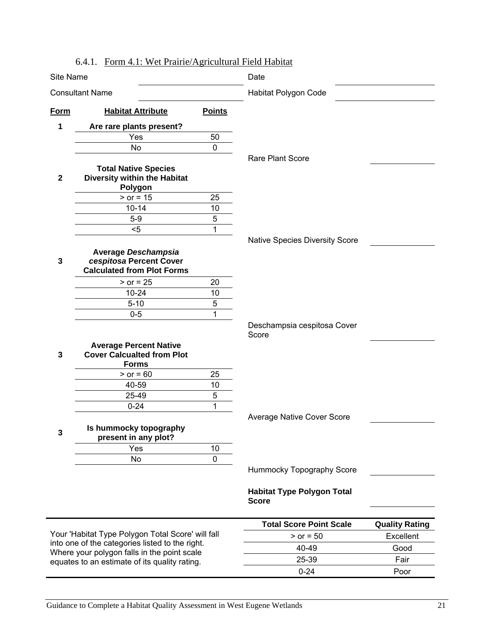<span id="page-22-0"></span>

| Site Name              | $\cdots$ of a runity of                                                                      |                      | reunant Pierre Habitat<br>Date                    |                       |
|------------------------|----------------------------------------------------------------------------------------------|----------------------|---------------------------------------------------|-----------------------|
| <b>Consultant Name</b> |                                                                                              | Habitat Polygon Code |                                                   |                       |
|                        |                                                                                              |                      |                                                   |                       |
| Form                   | <b>Habitat Attribute</b>                                                                     | <b>Points</b>        |                                                   |                       |
| 1                      | Are rare plants present?                                                                     |                      |                                                   |                       |
|                        | Yes                                                                                          | 50                   |                                                   |                       |
|                        | No                                                                                           | $\mathbf 0$          |                                                   |                       |
| $\mathbf{2}$           | <b>Total Native Species</b><br>Diversity within the Habitat<br>Polygon                       |                      | Rare Plant Score                                  |                       |
|                        | $>$ or = 15                                                                                  | 25                   |                                                   |                       |
|                        | $10 - 14$                                                                                    | 10                   |                                                   |                       |
|                        | $5-9$                                                                                        | 5                    |                                                   |                       |
|                        | $5$                                                                                          | $\mathbf{1}$         |                                                   |                       |
|                        |                                                                                              |                      | Native Species Diversity Score                    |                       |
| 3                      | <b>Average Deschampsia</b><br>cespitosa Percent Cover<br><b>Calculated from Plot Forms</b>   |                      |                                                   |                       |
|                        | $>$ or = 25                                                                                  | 20                   |                                                   |                       |
|                        | $10 - 24$                                                                                    | 10                   |                                                   |                       |
|                        | $5 - 10$                                                                                     | 5                    |                                                   |                       |
|                        | $0 - 5$                                                                                      | 1                    |                                                   |                       |
|                        | <b>Average Percent Native</b>                                                                |                      | Deschampsia cespitosa Cover<br>Score              |                       |
| 3                      | <b>Cover Calcualted from Plot</b>                                                            |                      |                                                   |                       |
|                        | <b>Forms</b>                                                                                 |                      |                                                   |                       |
|                        | $> or = 60$                                                                                  | 25                   |                                                   |                       |
|                        | 40-59                                                                                        | 10                   |                                                   |                       |
|                        | 25-49                                                                                        | $\sqrt{5}$           |                                                   |                       |
|                        | $0 - 24$                                                                                     | 1                    |                                                   |                       |
| 3                      | Is hummocky topography<br>present in any plot?                                               |                      | <b>Average Native Cover Score</b>                 |                       |
|                        | Yes                                                                                          | 10                   |                                                   |                       |
|                        | No                                                                                           | $\mathbf 0$          |                                                   |                       |
|                        |                                                                                              |                      | Hummocky Topography Score                         |                       |
|                        |                                                                                              |                      | <b>Habitat Type Polygon Total</b><br><b>Score</b> |                       |
|                        |                                                                                              |                      |                                                   |                       |
|                        |                                                                                              |                      | <b>Total Score Point Scale</b>                    | <b>Quality Rating</b> |
|                        | Your 'Habitat Type Polygon Total Score' will fall                                            |                      | $> or = 50$                                       | Excellent             |
|                        | into one of the categories listed to the right.                                              |                      | 40-49                                             | Good                  |
|                        | Where your polygon falls in the point scale<br>equates to an estimate of its quality rating. |                      | 25-39                                             | Fair                  |
|                        |                                                                                              |                      | $0 - 24$                                          | Poor                  |
|                        |                                                                                              |                      |                                                   |                       |

#### 6.4.1. Form 4.1: Wet Prairie/Agricultural Field Habitat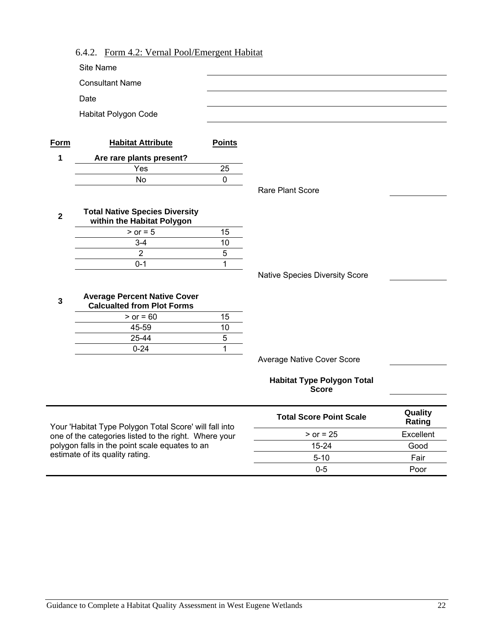<span id="page-23-0"></span>

|              | <b>Consultant Name</b>                                                   |               |                                                   |                   |
|--------------|--------------------------------------------------------------------------|---------------|---------------------------------------------------|-------------------|
|              | Date                                                                     |               |                                                   |                   |
|              | Habitat Polygon Code                                                     |               |                                                   |                   |
|              |                                                                          |               |                                                   |                   |
| <b>Form</b>  | <b>Habitat Attribute</b>                                                 | <b>Points</b> |                                                   |                   |
| 1            | Are rare plants present?                                                 |               |                                                   |                   |
|              | Yes                                                                      | 25            |                                                   |                   |
|              | <b>No</b>                                                                | $\mathbf 0$   |                                                   |                   |
|              |                                                                          |               | Rare Plant Score                                  |                   |
| $\mathbf{2}$ | <b>Total Native Species Diversity</b><br>within the Habitat Polygon      |               |                                                   |                   |
|              | $>$ or = 5                                                               | 15            |                                                   |                   |
|              | $3 - 4$                                                                  | 10            |                                                   |                   |
|              | $\overline{2}$                                                           | 5             |                                                   |                   |
|              | $0 - 1$                                                                  | 1             |                                                   |                   |
|              |                                                                          |               | Native Species Diversity Score                    |                   |
| 3            | <b>Average Percent Native Cover</b><br><b>Calcualted from Plot Forms</b> |               |                                                   |                   |
|              | $>$ or = 60                                                              | 15            |                                                   |                   |
|              | 45-59                                                                    | 10            |                                                   |                   |
|              | 25-44                                                                    | 5             |                                                   |                   |
|              | $0 - 24$                                                                 | $\mathbf{1}$  |                                                   |                   |
|              |                                                                          |               | <b>Average Native Cover Score</b>                 |                   |
|              |                                                                          |               | <b>Habitat Type Polygon Total</b><br><b>Score</b> |                   |
|              | Your 'Habitat Type Polygon Total Score' will fall into                   |               | <b>Total Score Point Scale</b>                    | Quality<br>Rating |
|              | one of the categories listed to the right. Where your                    |               | $>$ or = 25                                       | Excellent         |
|              | polygon falls in the point scale equates to an                           |               | $15 - 24$                                         | Good              |
|              | estimate of its quality rating.                                          |               | $5 - 10$                                          | Fair              |
|              |                                                                          |               | $0 - 5$                                           | Poor              |

### 6.4.2. Form 4.2: Vernal Pool/Emergent Habitat

Site Name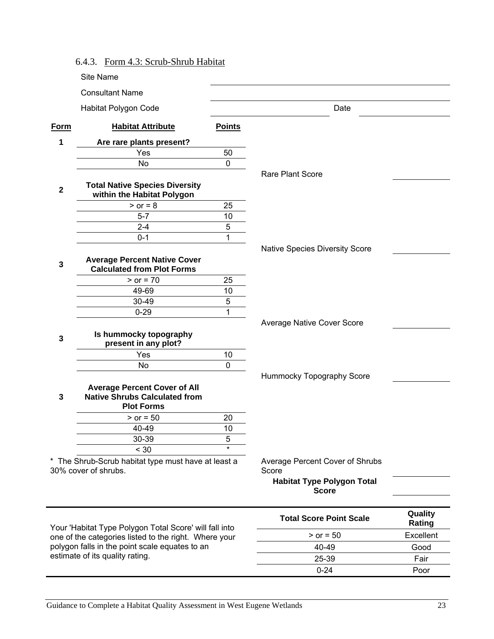<span id="page-24-0"></span>

|             | 6.4.3. Form 4.3: Scrub-Shrub Habitat                                                             |               |                                          |                   |
|-------------|--------------------------------------------------------------------------------------------------|---------------|------------------------------------------|-------------------|
|             | Site Name                                                                                        |               |                                          |                   |
|             | <b>Consultant Name</b>                                                                           |               |                                          |                   |
|             | Habitat Polygon Code                                                                             |               | Date                                     |                   |
| Form        | <b>Habitat Attribute</b>                                                                         | <b>Points</b> |                                          |                   |
| 1           | Are rare plants present?                                                                         |               |                                          |                   |
|             | Yes                                                                                              | 50            |                                          |                   |
|             | No                                                                                               | $\mathbf 0$   |                                          |                   |
| $\mathbf 2$ | <b>Total Native Species Diversity</b><br>within the Habitat Polygon                              |               | <b>Rare Plant Score</b>                  |                   |
|             | $>$ or = 8                                                                                       | 25            |                                          |                   |
|             | $5 - 7$                                                                                          | 10            |                                          |                   |
|             | $2 - 4$                                                                                          | 5             |                                          |                   |
|             | $0 - 1$                                                                                          | 1             |                                          |                   |
|             |                                                                                                  |               | Native Species Diversity Score           |                   |
| 3           | <b>Average Percent Native Cover</b><br><b>Calculated from Plot Forms</b>                         |               |                                          |                   |
|             | $> or = 70$                                                                                      | 25            |                                          |                   |
|             | 49-69                                                                                            | 10            |                                          |                   |
|             | 30-49                                                                                            | 5             |                                          |                   |
|             | $0 - 29$                                                                                         | 1             |                                          |                   |
| 3           | Is hummocky topography<br>present in any plot?                                                   |               | Average Native Cover Score               |                   |
|             | Yes                                                                                              | 10            |                                          |                   |
|             | No                                                                                               | $\mathbf 0$   |                                          |                   |
| 3           | <b>Average Percent Cover of All</b><br><b>Native Shrubs Calculated from</b><br><b>Plot Forms</b> |               | Hummocky Topography Score                |                   |
|             | $> or = 50$                                                                                      | 20            |                                          |                   |
|             | 40-49                                                                                            | 10            |                                          |                   |
|             | 30-39                                                                                            | 5<br>$\star$  |                                          |                   |
|             | < 30<br>* The Shrub-Scrub habitat type must have at least a<br>30% cover of shrubs.              |               | Average Percent Cover of Shrubs<br>Score |                   |
|             |                                                                                                  |               | <b>Habitat Type Polygon Total</b>        |                   |
|             |                                                                                                  |               | <b>Score</b>                             |                   |
|             | Your 'Habitat Type Polygon Total Score' will fall into                                           |               | <b>Total Score Point Scale</b>           | Quality<br>Rating |
|             | one of the categories listed to the right. Where your                                            |               | $>$ or = 50                              | Excellent         |
|             | polygon falls in the point scale equates to an                                                   |               | 40-49                                    | Good              |
|             | estimate of its quality rating.                                                                  |               | 25-39                                    | Fair              |
|             |                                                                                                  |               | $0 - 24$                                 | Poor              |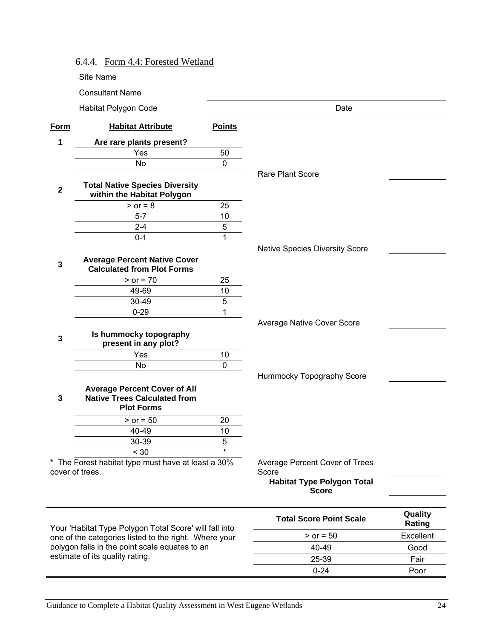<span id="page-25-0"></span>

|                         | 6.4.4. Form 4.4: Forested Wetland                                                               |                |                                                   |                   |
|-------------------------|-------------------------------------------------------------------------------------------------|----------------|---------------------------------------------------|-------------------|
|                         | Site Name                                                                                       |                |                                                   |                   |
|                         | <b>Consultant Name</b>                                                                          |                |                                                   |                   |
|                         | Habitat Polygon Code                                                                            |                | Date                                              |                   |
| Form                    | <b>Habitat Attribute</b>                                                                        | <b>Points</b>  |                                                   |                   |
| 1                       | Are rare plants present?                                                                        |                |                                                   |                   |
|                         | Yes                                                                                             | 50             |                                                   |                   |
|                         | <b>No</b>                                                                                       | $\mathbf 0$    |                                                   |                   |
| $\overline{\mathbf{2}}$ | <b>Total Native Species Diversity</b><br>within the Habitat Polygon                             |                | <b>Rare Plant Score</b>                           |                   |
|                         | $>$ or = 8                                                                                      | 25             |                                                   |                   |
|                         | $5 - 7$                                                                                         | 10             |                                                   |                   |
|                         | $2 - 4$                                                                                         | 5              |                                                   |                   |
|                         | $0 - 1$                                                                                         | 1              |                                                   |                   |
|                         |                                                                                                 |                | <b>Native Species Diversity Score</b>             |                   |
| 3                       | <b>Average Percent Native Cover</b><br><b>Calculated from Plot Forms</b>                        |                |                                                   |                   |
|                         | $>$ or = 70                                                                                     | 25             |                                                   |                   |
|                         | 49-69                                                                                           | 10             |                                                   |                   |
|                         | 30-49                                                                                           | 5              |                                                   |                   |
|                         | $0 - 29$                                                                                        | $\overline{1}$ |                                                   |                   |
|                         |                                                                                                 |                | <b>Average Native Cover Score</b>                 |                   |
| $\mathbf{3}$            | Is hummocky topography<br>present in any plot?                                                  |                |                                                   |                   |
|                         | Yes                                                                                             | 10             |                                                   |                   |
|                         | <b>No</b>                                                                                       | $\overline{0}$ |                                                   |                   |
|                         |                                                                                                 |                | Hummocky Topography Score                         |                   |
| 3                       | <b>Average Percent Cover of All</b><br><b>Native Trees Calculated from</b><br><b>Plot Forms</b> |                |                                                   |                   |
|                         | $>$ or = 50                                                                                     | 20             |                                                   |                   |
|                         | 40-49                                                                                           | 10             |                                                   |                   |
|                         | 30-39                                                                                           | 5              |                                                   |                   |
|                         | < 30                                                                                            | $\star$        |                                                   |                   |
|                         | * The Forest habitat type must have at least a 30%<br>cover of trees.                           |                | Average Percent Cover of Trees<br>Score           |                   |
|                         |                                                                                                 |                | <b>Habitat Type Polygon Total</b><br><b>Score</b> |                   |
|                         | Your 'Habitat Type Polygon Total Score' will fall into                                          |                | <b>Total Score Point Scale</b>                    | Quality<br>Rating |
|                         | one of the categories listed to the right. Where your                                           |                | $>$ or = 50                                       | Excellent         |
|                         | polygon falls in the point scale equates to an                                                  |                | 40-49                                             | Good              |
|                         | estimate of its quality rating.                                                                 |                | 25-39                                             | Fair              |
|                         |                                                                                                 |                | $0 - 24$                                          | Poor              |

-